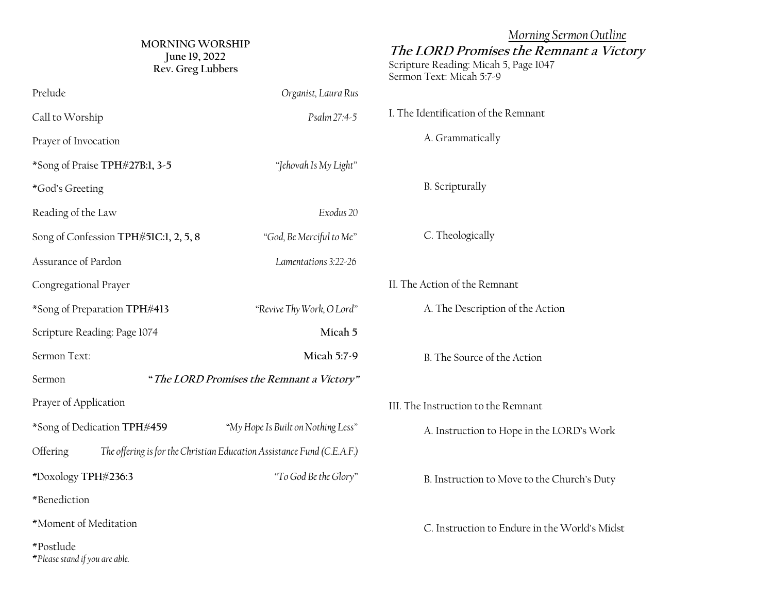| <b>MORNING WORSHIP</b><br>June 19, 2022<br>Rev. Greg Lubbers                       |                                           | Morning Sermon Outline<br>The LORD Promises the Remnant a Victory<br>Scripture Reading: Micah 5, Page 1047<br>Sermon Text: Micah 5:7-9 |
|------------------------------------------------------------------------------------|-------------------------------------------|----------------------------------------------------------------------------------------------------------------------------------------|
| Prelude                                                                            | Organist, Laura Rus                       |                                                                                                                                        |
| Call to Worship                                                                    | Psalm 27:4-5                              | I. The Identification of the Remnant                                                                                                   |
| Prayer of Invocation                                                               |                                           | A. Grammatically                                                                                                                       |
| *Song of Praise TPH#27B:1, 3-5                                                     | "Jehovah Is My Light"                     |                                                                                                                                        |
| *God's Greeting                                                                    |                                           | <b>B.</b> Scripturally                                                                                                                 |
| Reading of the Law                                                                 | Exodus 20                                 |                                                                                                                                        |
| Song of Confession TPH#51C:1, 2, 5, 8                                              | "God, Be Merciful to Me"                  | C. Theologically                                                                                                                       |
| Assurance of Pardon                                                                | Lamentations 3:22-26                      |                                                                                                                                        |
| Congregational Prayer                                                              |                                           | II. The Action of the Remnant                                                                                                          |
| *Song of Preparation TPH#413                                                       | "Revive Thy Work, O Lord"                 | A. The Description of the Action                                                                                                       |
| Scripture Reading: Page 1074                                                       | Micah 5                                   |                                                                                                                                        |
| Sermon Text:                                                                       | Micah 5:7-9                               | B. The Source of the Action                                                                                                            |
| Sermon                                                                             | "The LORD Promises the Remnant a Victory" |                                                                                                                                        |
| Prayer of Application                                                              |                                           | III. The Instruction to the Remnant                                                                                                    |
| *Song of Dedication TPH#459                                                        | "My Hope Is Built on Nothing Less"        | A. Instruction to Hope in the LORD's Work                                                                                              |
| The offering is for the Christian Education Assistance Fund (C.E.A.F.)<br>Offering |                                           |                                                                                                                                        |
| *Doxology TPH#236:3                                                                | "To God Be the Glory"                     | B. Instruction to Move to the Church's Duty                                                                                            |
| *Benediction                                                                       |                                           |                                                                                                                                        |
| *Moment of Meditation                                                              |                                           | C. Instruction to Endure in the World's Midst                                                                                          |
| *Postlude<br>*Please stand if you are able.                                        |                                           |                                                                                                                                        |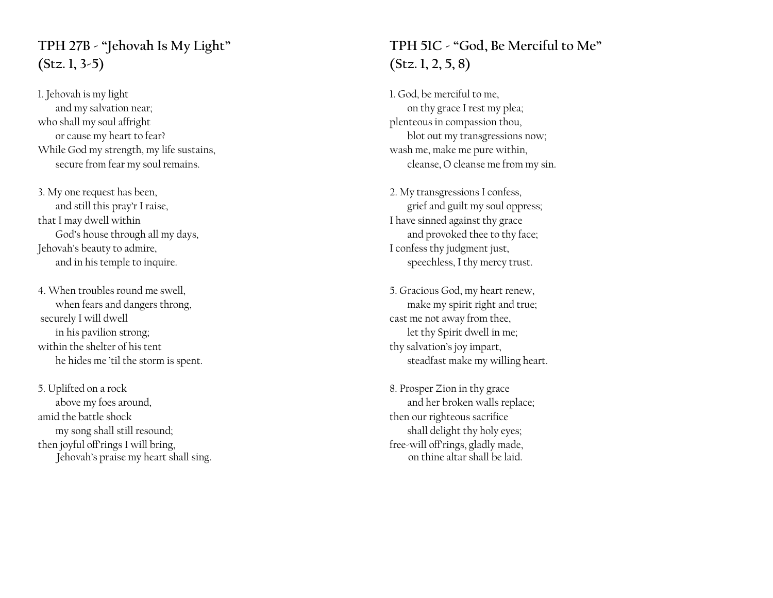# **TPH 27B - "Jehovah Is My Light" (Stz. 1, 3-5)**

1. Jehovah is my light and my salvation near; who shall my soul affright or cause my heart to fear? While God my strength, my life sustains, secure from fear my soul remains.

3. My one request has been, and still this pray'r I raise, that I may dwell within God's house through all my days, Jehovah's beauty to admire, and in his temple to inquire.

4. When troubles round me swell, when fears and dangers throng, securely I will dwell in his pavilion strong; within the shelter of his tent he hides me 'til the storm is spent.

5. Uplifted on a rock above my foes around, amid the battle shock my song shall still resound; then joyful off'rings I will bring, Jehovah's praise my heart shall sing.

### **TPH 51C - "God, Be Merciful to Me" (Stz. 1, 2, 5, 8)**

1. God, be merciful to me, on thy grace I rest my plea; plenteous in compassion thou, blot out my transgressions now; wash me, make me pure within, cleanse, O cleanse me from my sin.

2. My transgressions I confess, grief and guilt my soul oppress; I have sinned against thy grace and provoked thee to thy face; I confess thy judgment just, speechless, I thy mercy trust.

5. Gracious God, my heart renew, make my spirit right and true; cast me not away from thee, let thy Spirit dwell in me; thy salvation's joy impart, steadfast make my willing heart.

8. Prosper Zion in thy grace and her broken walls replace; then our righteous sacrifice shall delight thy holy eyes; free-will off'rings, gladly made, on thine altar shall be laid.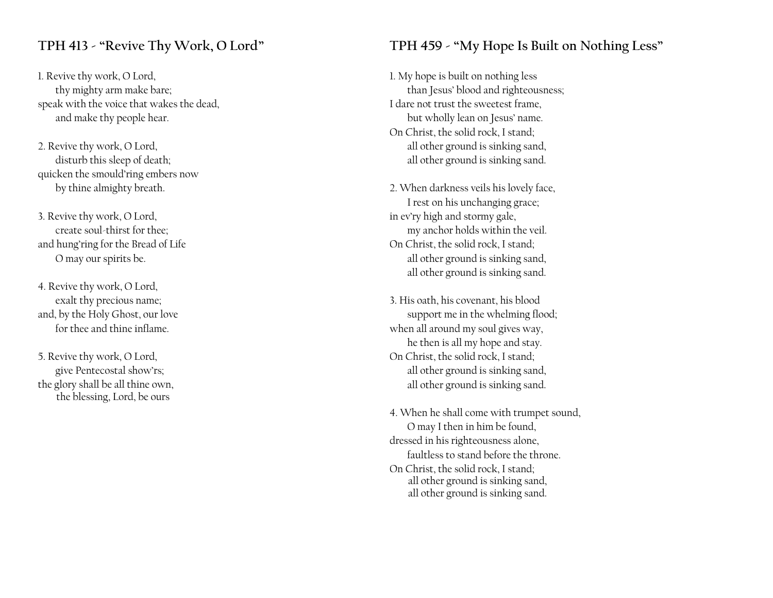#### **TPH 413 - "Revive Thy Work, O Lord"**

1. Revive thy work, O Lord, thy mighty arm make bare; speak with the voice that wakes the dead, and make thy people hear.

2. Revive thy work, O Lord, disturb this sleep of death; quicken the smould'ring embers now by thine almighty breath.

3. Revive thy work, O Lord, create soul-thirst for thee; and hung'ring for the Bread of Life O may our spirits be.

4. Revive thy work, O Lord, exalt thy precious name; and, by the Holy Ghost, our love for thee and thine inflame.

5. Revive thy work, O Lord, give Pentecostal show'rs; the glory shall be all thine own, the blessing, Lord, be ours

### **TPH 459 - "My Hope Is Built on Nothing Less"**

1. My hope is built on nothing less than Jesus' blood and righteousness; I dare not trust the sweetest frame, but wholly lean on Jesus' name. On Christ, the solid rock, I stand; all other ground is sinking sand, all other ground is sinking sand.

2. When darkness veils his lovely face, I rest on his unchanging grace; in ev'ry high and stormy gale, my anchor holds within the veil. On Christ, the solid rock, I stand; all other ground is sinking sand, all other ground is sinking sand.

3. His oath, his covenant, his blood support me in the whelming flood; when all around my soul gives way, he then is all my hope and stay. On Christ, the solid rock, I stand; all other ground is sinking sand, all other ground is sinking sand.

4. When he shall come with trumpet sound, O may I then in him be found, dressed in his righteousness alone, faultless to stand before the throne. On Christ, the solid rock, I stand; all other ground is sinking sand, all other ground is sinking sand.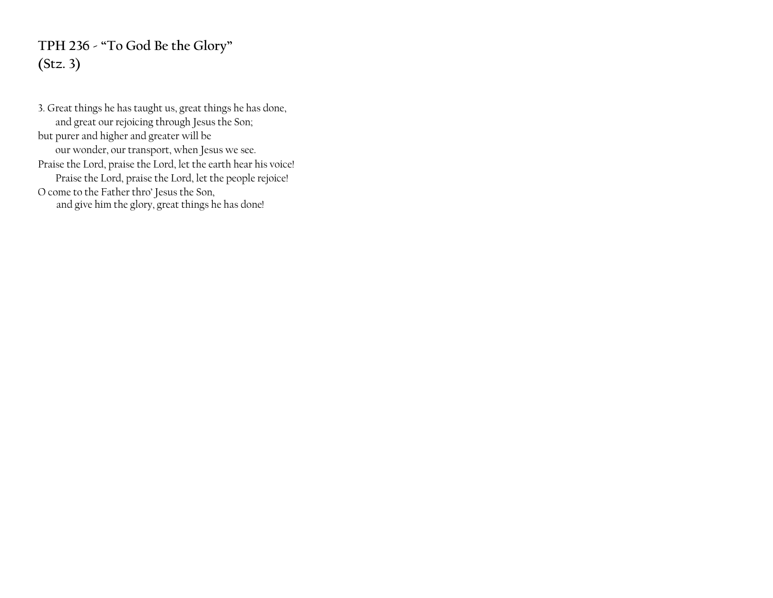# **TPH 236 - "To God Be the Glory" (Stz. 3)**

3. Great things he has taught us, great things he has done, and great our rejoicing through Jesus the Son; but purer and higher and greater will be our wonder, our transport, when Jesus we see. Praise the Lord, praise the Lord, let the earth hear his voice! Praise the Lord, praise the Lord, let the people rejoice! O come to the Father thro' Jesus the Son, and give him the glory, great things he has done!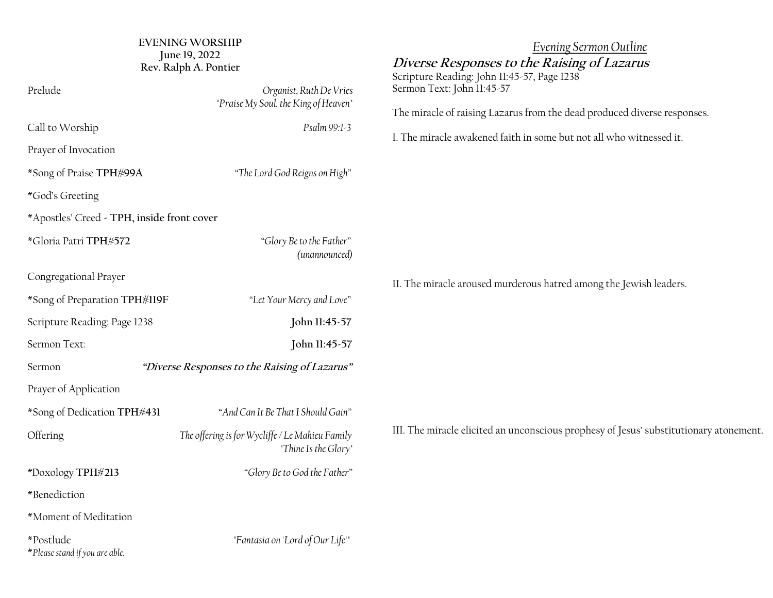| <b>EVENING WORSHIP</b><br>June 19, 2022<br>Rev. Ralph A. Pontier |                                                                         | Evening Sermon Outline<br>Diverse Responses to the Raising of Lazarus<br>Scripture Reading: John 11:45-57, Page 1238 |
|------------------------------------------------------------------|-------------------------------------------------------------------------|----------------------------------------------------------------------------------------------------------------------|
| Prelude                                                          | Organist, Ruth De Vries<br>"Praise My Soul, the King of Heaven"         | Sermon Text: John 11:45-57<br>The miracle of raising Lazarus from the dead produced diverse responses.               |
| Call to Worship<br>Prayer of Invocation                          | Psalm 99:1-3                                                            | I. The miracle awakened faith in some but not all who witnessed it.                                                  |
| *Song of Praise TPH#99A                                          | "The Lord God Reigns on High"                                           |                                                                                                                      |
| *God's Greeting<br>*Apostles' Creed - TPH, inside front cover    |                                                                         |                                                                                                                      |
| *Gloria Patri TPH#572                                            | "Glory Be to the Father"<br>(unannounced)                               |                                                                                                                      |
| Congregational Prayer                                            |                                                                         | II. The miracle aroused murderous hatred among the Jewish leaders.                                                   |
| *Song of Preparation TPH#119F                                    | "Let Your Mercy and Love"                                               |                                                                                                                      |
| Scripture Reading: Page 1238                                     | John 11:45-57                                                           |                                                                                                                      |
| Sermon Text:                                                     | John 11:45-57                                                           |                                                                                                                      |
| "Diverse Responses to the Raising of Lazarus"<br>Sermon          |                                                                         |                                                                                                                      |
| Prayer of Application                                            |                                                                         |                                                                                                                      |
| *Song of Dedication TPH#431                                      | "And Can It Be That I Should Gain"                                      |                                                                                                                      |
| Offering                                                         | The offering is for Wycliffe / Le Mahieu Family<br>"Thine Is the Glory" | III. The miracle elicited an unconscious prophesy of Jesus' substitutionary atonement.                               |
| *Doxology TPH#213                                                | "Glory Be to God the Father"                                            |                                                                                                                      |
| *Benediction                                                     |                                                                         |                                                                                                                      |
| *Moment of Meditation                                            |                                                                         |                                                                                                                      |
| *Postlude<br>*Please stand if you are able.                      | "Fantasia on 'Lord of Our Life'"                                        |                                                                                                                      |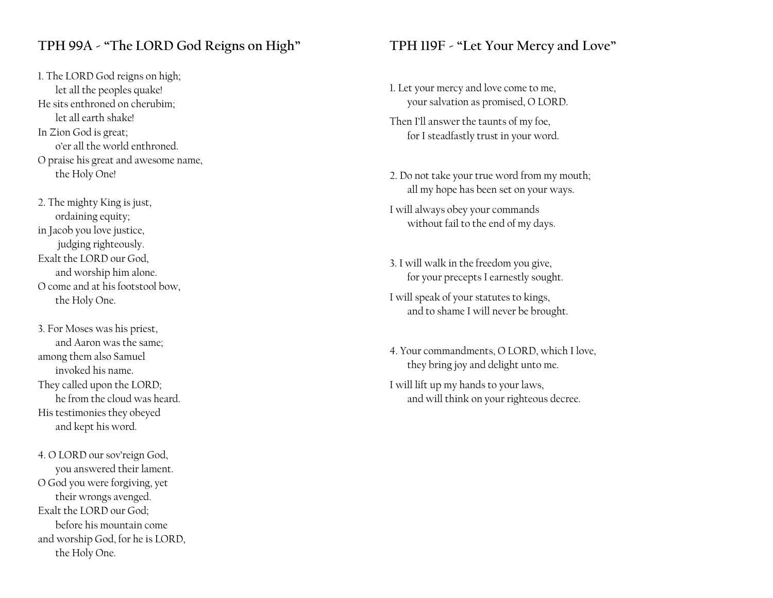### **TPH 99A - "The LORD God Reigns on High"**

1. The LORD God reigns on high; let all the peoples quake! He sits enthroned on cherubim; let all earth shake! In Zion God is great; o'er all the world enthroned. O praise his great and awesome name, the Holy One!

2. The mighty King is just, ordaining equity; in Jacob you love justice, judging righteously. Exalt the LORD our God, and worship him alone. O come and at his footstool bow, the Holy One.

3. For Moses was his priest, and Aaron was the same; among them also Samuel invoked his name. They called upon the LORD; he from the cloud was heard. His testimonies they obeyed and kept his word.

4. O LORD our sov'reign God, you answered their lament. O God you were forgiving, yet their wrongs avenged. Exalt the LORD our God; before his mountain come and worship God, for he is LORD, the Holy One.

#### **TPH 119F - "Let Your Mercy and Love"**

- 1. Let your mercy and love come to me, your salvation as promised, O LORD.
- Then I'll answer the taunts of my foe, for I steadfastly trust in your word.
- 2. Do not take your true word from my mouth; all my hope has been set on your ways.
- I will always obey your commands without fail to the end of my days.
- 3. I will walk in the freedom you give, for your precepts I earnestly sought.
- I will speak of your statutes to kings, and to shame I will never be brought.
- 4. Your commandments, O LORD, which I love, they bring joy and delight unto me.
- I will lift up my hands to your laws, and will think on your righteous decree.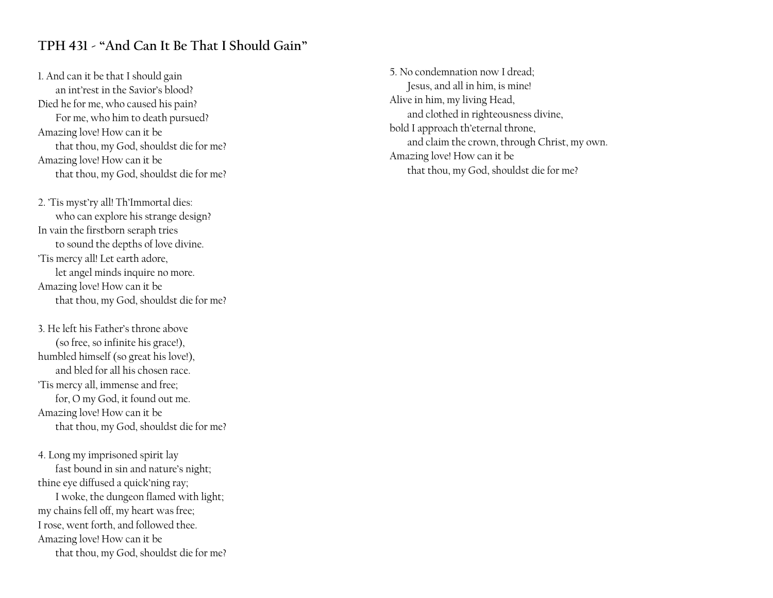### **TPH 431 - "And Can It Be That I Should Gain"**

1. And can it be that I should gain an int'rest in the Savior's blood? Died he for me, who caused his pain? For me, who him to death pursued? Amazing love! How can it be that thou, my God, shouldst die for me? Amazing love! How can it be that thou, my God, shouldst die for me?

2. 'Tis myst'ry all! Th'Immortal dies: who can explore his strange design? In vain the firstborn seraph tries to sound the depths of love divine. 'Tis mercy all! Let earth adore, let angel minds inquire no more. Amazing love! How can it be that thou, my God, shouldst die for me?

3. He left his Father's throne above (so free, so infinite his grace!), humbled himself (so great his love!), and bled for all his chosen race. 'Tis mercy all, immense and free; for, O my God, it found out me. Amazing love! How can it be that thou, my God, shouldst die for me?

4. Long my imprisoned spirit lay fast bound in sin and nature's night; thine eye diffused a quick'ning ray; I woke, the dungeon flamed with light; my chains fell off, my heart was free; I rose, went forth, and followed thee. Amazing love! How can it be that thou, my God, shouldst die for me? 5. No condemnation now I dread; Jesus, and all in him, is mine! Alive in him, my living Head, and clothed in righteousness divine, bold I approach th'eternal throne, and claim the crown, through Christ, my own. Amazing love! How can it be that thou, my God, shouldst die for me?